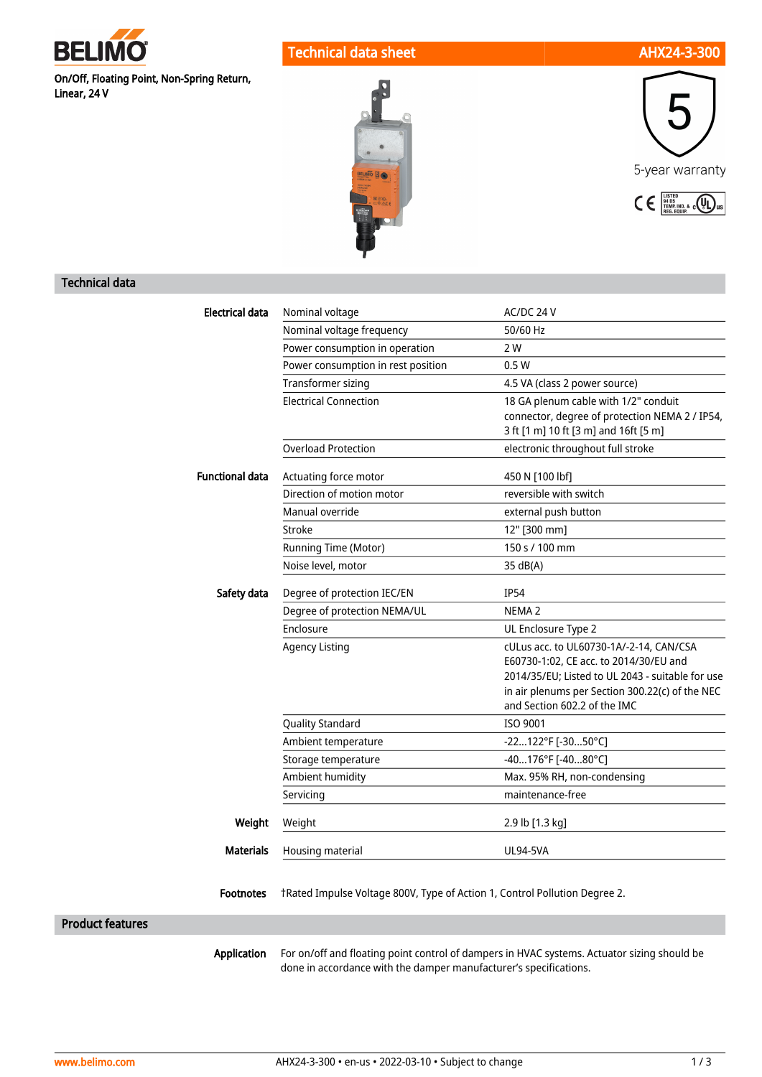

Technical data sheet AHX24-3-300

On/Off, Floating Point, Non-Spring Return, Linear, 24 V





# Technical data

| <b>Electrical data</b>  | Nominal voltage                                                            | AC/DC 24 V                                                                                                                                                                                                               |
|-------------------------|----------------------------------------------------------------------------|--------------------------------------------------------------------------------------------------------------------------------------------------------------------------------------------------------------------------|
|                         | Nominal voltage frequency                                                  | 50/60 Hz                                                                                                                                                                                                                 |
|                         | Power consumption in operation                                             | 2 W                                                                                                                                                                                                                      |
|                         | Power consumption in rest position                                         | 0.5W                                                                                                                                                                                                                     |
|                         | Transformer sizing                                                         | 4.5 VA (class 2 power source)                                                                                                                                                                                            |
|                         | <b>Electrical Connection</b>                                               | 18 GA plenum cable with 1/2" conduit                                                                                                                                                                                     |
|                         |                                                                            | connector, degree of protection NEMA 2 / IP54,                                                                                                                                                                           |
|                         |                                                                            | 3 ft [1 m] 10 ft [3 m] and 16ft [5 m]                                                                                                                                                                                    |
|                         | <b>Overload Protection</b>                                                 | electronic throughout full stroke                                                                                                                                                                                        |
| <b>Functional data</b>  | Actuating force motor                                                      | 450 N [100 lbf]                                                                                                                                                                                                          |
|                         | Direction of motion motor                                                  | reversible with switch                                                                                                                                                                                                   |
|                         | Manual override                                                            | external push button                                                                                                                                                                                                     |
|                         | Stroke                                                                     | 12" [300 mm]                                                                                                                                                                                                             |
|                         | Running Time (Motor)                                                       | 150 s / 100 mm                                                                                                                                                                                                           |
|                         | Noise level, motor                                                         | 35 dB(A)                                                                                                                                                                                                                 |
| Safety data             | Degree of protection IEC/EN                                                | <b>IP54</b>                                                                                                                                                                                                              |
|                         | Degree of protection NEMA/UL                                               | NEMA <sub>2</sub>                                                                                                                                                                                                        |
|                         | Enclosure                                                                  | UL Enclosure Type 2                                                                                                                                                                                                      |
|                         | <b>Agency Listing</b>                                                      | cULus acc. to UL60730-1A/-2-14, CAN/CSA<br>E60730-1:02, CE acc. to 2014/30/EU and<br>2014/35/EU; Listed to UL 2043 - suitable for use<br>in air plenums per Section 300.22(c) of the NEC<br>and Section 602.2 of the IMC |
|                         | <b>Quality Standard</b>                                                    | ISO 9001                                                                                                                                                                                                                 |
|                         | Ambient temperature                                                        | -22122°F [-3050°C]                                                                                                                                                                                                       |
|                         | Storage temperature                                                        | $-40176$ °F [-4080°C]                                                                                                                                                                                                    |
|                         | Ambient humidity                                                           | Max. 95% RH, non-condensing                                                                                                                                                                                              |
|                         | Servicing                                                                  | maintenance-free                                                                                                                                                                                                         |
| Weight                  | Weight                                                                     | 2.9 lb [1.3 kg]                                                                                                                                                                                                          |
| <b>Materials</b>        | Housing material                                                           | <b>UL94-5VA</b>                                                                                                                                                                                                          |
| <b>Footnotes</b>        | tRated Impulse Voltage 800V, Type of Action 1, Control Pollution Degree 2. |                                                                                                                                                                                                                          |
| <b>Product features</b> |                                                                            |                                                                                                                                                                                                                          |
| Application             | done in accordance with the damper manufacturer's specifications.          | For on/off and floating point control of dampers in HVAC systems. Actuator sizing should be                                                                                                                              |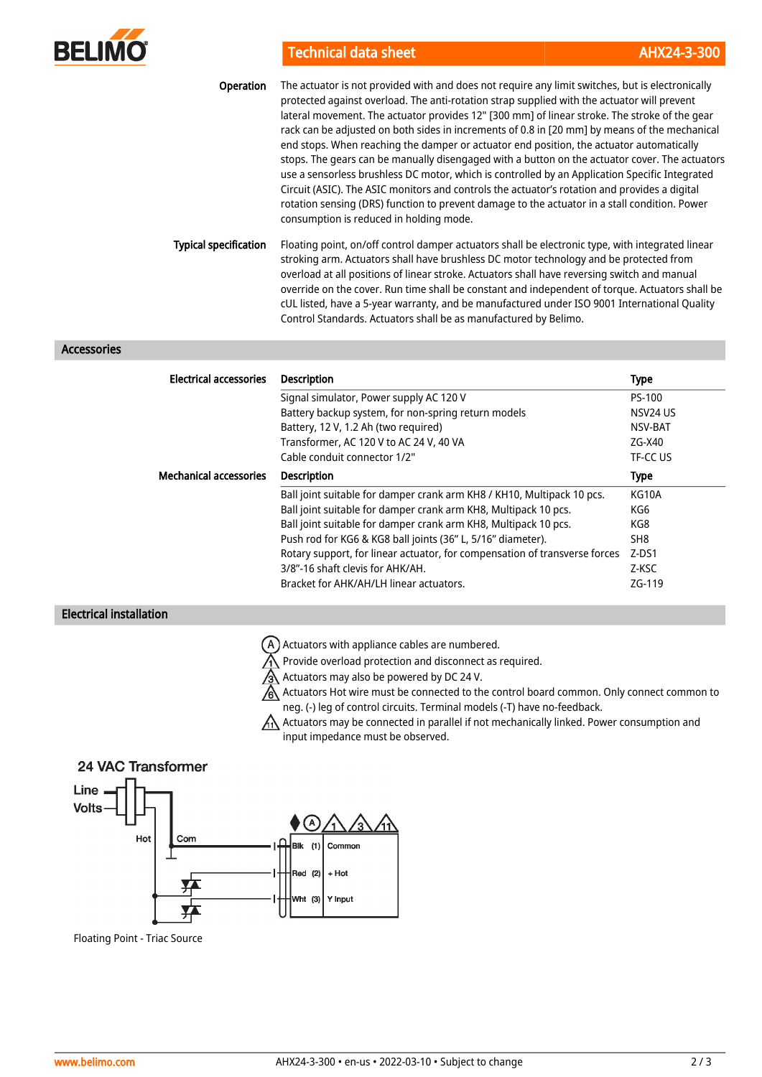

Technical data sheet AHX24-3-300

| Operation                    | The actuator is not provided with and does not require any limit switches, but is electronically<br>protected against overload. The anti-rotation strap supplied with the actuator will prevent<br>lateral movement. The actuator provides 12" [300 mm] of linear stroke. The stroke of the gear<br>rack can be adjusted on both sides in increments of 0.8 in [20 mm] by means of the mechanical<br>end stops. When reaching the damper or actuator end position, the actuator automatically<br>stops. The gears can be manually disengaged with a button on the actuator cover. The actuators<br>use a sensorless brushless DC motor, which is controlled by an Application Specific Integrated<br>Circuit (ASIC). The ASIC monitors and controls the actuator's rotation and provides a digital<br>rotation sensing (DRS) function to prevent damage to the actuator in a stall condition. Power<br>consumption is reduced in holding mode. |
|------------------------------|------------------------------------------------------------------------------------------------------------------------------------------------------------------------------------------------------------------------------------------------------------------------------------------------------------------------------------------------------------------------------------------------------------------------------------------------------------------------------------------------------------------------------------------------------------------------------------------------------------------------------------------------------------------------------------------------------------------------------------------------------------------------------------------------------------------------------------------------------------------------------------------------------------------------------------------------|
| <b>Typical specification</b> | Floating point, on/off control damper actuators shall be electronic type, with integrated linear<br>stroking arm. Actuators shall have brushless DC motor technology and be protected from<br>overload at all positions of linear stroke. Actuators shall have reversing switch and manual<br>override on the cover. Run time shall be constant and independent of torque. Actuators shall be<br>cUL listed, have a 5-year warranty, and be manufactured under ISO 9001 International Quality                                                                                                                                                                                                                                                                                                                                                                                                                                                  |

Control Standards. Actuators shall be as manufactured by Belimo.

## Accessories

| <b>Electrical accessories</b> | <b>Description</b>                                                         | Type        |
|-------------------------------|----------------------------------------------------------------------------|-------------|
|                               | Signal simulator, Power supply AC 120 V                                    | PS-100      |
|                               | Battery backup system, for non-spring return models                        | NSV24 US    |
|                               | Battery, 12 V, 1.2 Ah (two required)                                       | NSV-BAT     |
|                               | Transformer, AC 120 V to AC 24 V, 40 VA                                    | ZG-X40      |
|                               | Cable conduit connector 1/2"                                               | TF-CC US    |
| <b>Mechanical accessories</b> | <b>Description</b>                                                         | <b>Type</b> |
|                               | Ball joint suitable for damper crank arm KH8 / KH10, Multipack 10 pcs.     | KG10A       |
|                               | Ball joint suitable for damper crank arm KH8, Multipack 10 pcs.            | KG6         |
|                               | Ball joint suitable for damper crank arm KH8, Multipack 10 pcs.            | KG8         |
|                               | Push rod for KG6 & KG8 ball joints (36" L, 5/16" diameter).                | SH8         |
|                               | Rotary support, for linear actuator, for compensation of transverse forces | $Z-DS1$     |
|                               | 3/8"-16 shaft clevis for AHK/AH.                                           | Z-KSC       |
|                               | Bracket for AHK/AH/LH linear actuators.                                    | ZG-119      |

### Electrical installation

- $(A)$  Actuators with appliance cables are numbered.
- $\bigwedge$  Provide overload protection and disconnect as required.
- Actuators may also be powered by DC 24 V.
- Actuators Hot wire must be connected to the control board common. Only connect common to neg. (-) leg of control circuits. Terminal models (-T) have no-feedback.
- $A\Lambda$  Actuators may be connected in parallel if not mechanically linked. Power consumption and input impedance must be observed.

# 24 VAC Transformer



Floating Point - Triac Source